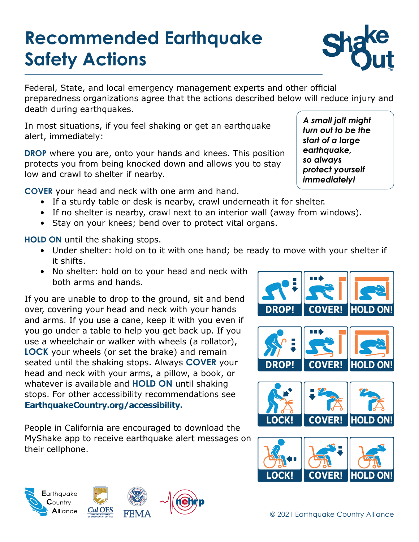# **Recommended Earthquake Safety Actions**



Federal, State, and local emergency management experts and other official preparedness organizations agree that the actions described below will reduce injury and death during earthquakes.

In most situations, if you feel shaking or get an earthquake alert, immediately:

**DROP** where you are, onto your hands and knees. This position protects you from being knocked down and allows you to stay low and crawl to shelter if nearby.

**COVER** your head and neck with one arm and hand.

- If a sturdy table or desk is nearby, crawl underneath it for shelter.
- If no shelter is nearby, crawl next to an interior wall (away from windows).
- Stay on your knees; bend over to protect vital organs.

**HOLD ON** until the shaking stops.

- Under shelter: hold on to it with one hand; be ready to move with your shelter if it shifts.
- No shelter: hold on to your head and neck with both arms and hands.

If you are unable to drop to the ground, sit and bend over, covering your head and neck with your hands and arms. If you use a cane, keep it with you even if you go under a table to help you get back up. If you use a wheelchair or walker with wheels (a rollator), **LOCK** your wheels (or set the brake) and remain seated until the shaking stops. Always **COVER** your head and neck with your arms, a pillow, a book, or whatever is available and **HOLD ON** until shaking stops. For other accessibility recommendations see **[EarthquakeCountry.org/accessibil](http://EarthquakeCountry.org/disability)ity.**

People in California are encouraged to download the MyShake app to receive earthquake alert messages on their cellphone.





© 2021 Earthquake Country Alliance

**COVER!**

**IHOLD** 

**LOCK!**

*A small jolt might turn out to be the start of a large earthquake, so always protect yourself immediately!*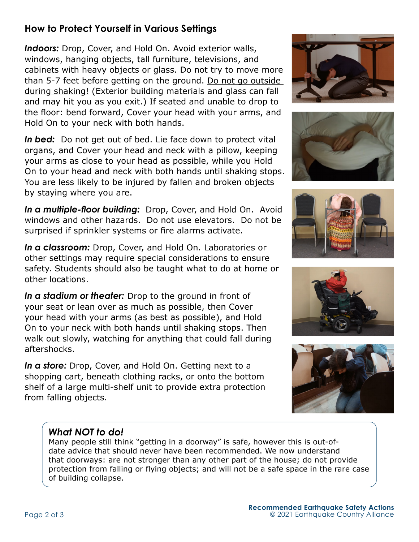## **How to Protect Yourself in Various Settings**

*Indoors:* Drop, Cover, and Hold On. Avoid exterior walls, windows, hanging objects, tall furniture, televisions, and cabinets with heavy objects or glass. Do not try to move more than 5-7 feet before getting on the ground. Do not go outside during shaking! (Exterior building materials and glass can fall and may hit you as you exit.) If seated and unable to drop to the floor: bend forward, Cover your head with your arms, and Hold On to your neck with both hands.

*In bed:* Do not get out of bed. Lie face down to protect vital organs, and Cover your head and neck with a pillow, keeping your arms as close to your head as possible, while you Hold On to your head and neck with both hands until shaking stops. You are less likely to be injured by fallen and broken objects by staying where you are.

*In a multiple-floor building:* Drop, Cover, and Hold On. Avoid windows and other hazards. Do not use elevators. Do not be surprised if sprinkler systems or fire alarms activate.

*In a classroom:* Drop, Cover, and Hold On. Laboratories or other settings may require special considerations to ensure safety. Students should also be taught what to do at home or other locations.

*In a stadium or theater:* Drop to the ground in front of your seat or lean over as much as possible, then Cover your head with your arms (as best as possible), and Hold On to your neck with both hands until shaking stops. Then walk out slowly, watching for anything that could fall during aftershocks.

*In a store:* Drop, Cover, and Hold On. Getting next to a shopping cart, beneath clothing racks, or onto the bottom shelf of a large multi-shelf unit to provide extra protection from falling objects.











### *What NOT to do!*

Many people still think "getting in a doorway" is safe, however this is out-ofdate advice that should never have been recommended. We now understand that doorways: are not stronger than any other part of the house; do not provide protection from falling or flying objects; and will not be a safe space in the rare case of building collapse.